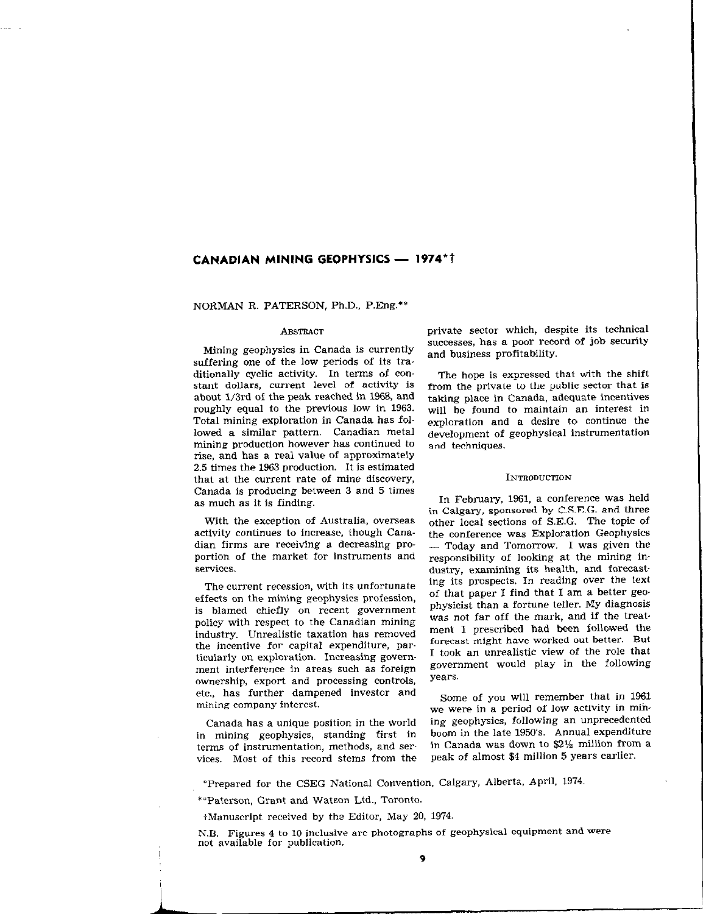# CANADIAN MINING GEOPHYSICS - 1974\*†

NORMAN R. PATERSON, Ph.D., P.Eng.\*\*

#### **ABSTRACT**

Mining geophysics in Canada is currently suffering one of the low periods of its traditionally cyclic activity. In terms of constant dollars, current level of activity is about 1/3rd of the peak reached in 1968, and roughly equal to the previous low in 1963. Total mining exploration in Canada has fol. lowed a similar pattern. Canadian metal mining production however has continued to rise, and has a real value of approximately 2.5 times the 1963 production. It is estimated that at the current rate of mine discovery, Canada is producing between 3 and 5 times as much as it is finding.

With the exception of Australia, overseas activity continues to increase, though Canadian firms are receiving a decreasing proportion of the market for instruments and services.

The current recession, with its unfortunate effects on the mining geophysics profession, is blamed chiefly on recent government policy with respect to the Canadian mining industry. Unrealistic taxation has removed the incentive for capital expenditure, particularly on exploration. Increasing government interference in areas such as foreign ownership, export and processing controls, etc., has further dampened investor and mining company interest.

Canada has a unique position in the world in mining geophysics, standing first in terms of instrumentation, methods, and services. Most of this record stems from the private sector which, despite its technical successes, has a poor record of job security and business profitability.

The hope is expressed that with the shift from the private to the public sector that is taking place in Canada, adequate incentives will be found to maintain an interest in exploration and a desire to continue the development of geophysical instrumentation and techniques.

#### INTRODUCTION

In February, 1961, a conference was held in Calgary, sponsored by C.S.E.G. and three other local sections of S.E.G. The topic of the conference was Exploration Geophysics  $-$  Today and Tomorrow. I was given the responsibility of looking at the mining industry, examining its health, and forecasting its prospects. In reading over the text of that paper I find that I am a better gee. physicist than a fortune teller. My diagnosis was not far off the mark, and if the treatment I prescribed had been followed the forecast might have worked out better. But I took an unrealistic view of the role that government would play in the following years.

Some of you will remember that in 1961 we were in a period of low activity in mihing geophysics, following an unprecedented boom in the late 1950's. Annual expenditure in Canada was down to  $2\frac{1}{2}$  million from a peak of almost \$4 million 5 years earlier.

\*Prepared for the CSEG National Convention, Calgary, Alberta, April, 1974,

\*\*Paterson, Grant and Watson Ltd., Toronto.

iManuscript received by th? Editor, May 20, 1974.

N.B. Figures 4 to IO inclusive are photographs of geophysical equipment and Were not available for publication.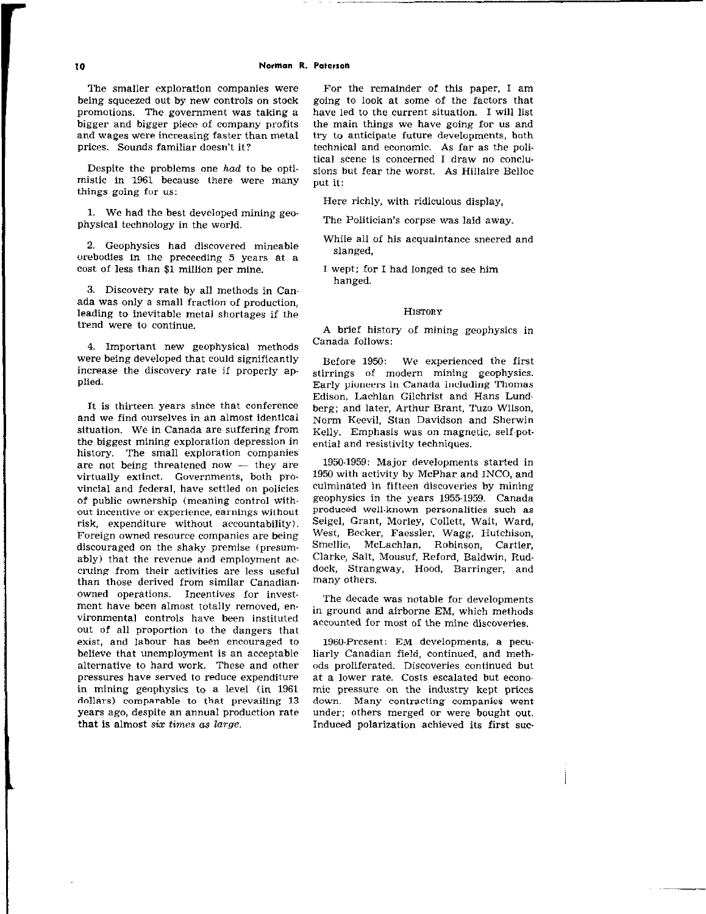The smaller exploration companies were being squeezed out by new controls on stock promotions. The government was taking a bigger and bigger piece of company profits and wages were increasing faster than metal prices. Sounds familiar doesn't it?

Despite the problems one had to be optimistic in 1961 because there were many things going for us:

1. We had the best developed mining geophysical technology in the world.

2. Geophysics had discovered mineable orebodies in the preceding 5 years at a cost of less than \$1 million per mine.

3. Discovery rate by all methods in Canada was only a small fraction of production, leading to inevitable metal shortages if the trend were to continue.

4. Important new geophysical methods were being developed that could significantly increase the discovery rate if properly applied.

It is thirteen years since that conference and we find ourselves in an almost identical situation. We in Canada are suffering from the biggest mining exploration depression in history. The small exploration companies are not being threatened now - they are virtually extinct. Governments, both provincial and federal, have settled on policies of public ownership (meaning control with. out incentive or experience, earnings without risk, expenditure without accountability). Foreign owned resource companies are being discouraged on the shaky premise (presumably) that the revenue and employment accruing from their activities are less useful than those derived from similar Canadianowned operations. Incentives for investment have been almost totally removed, environmental controls have been instituted out of all proportion to the dangers that exist, and labour has been encouraged to believe that unemployment is an acceptable alternative to hard work. These and other pressures have served to reduce expenditure in mining geophysics to a level (in 1961 dollars) comparable to that prevailing 13 years ago, despite an annual production rate that is almost six times as large.

For the remainder of this paper, I am going to look at some of the factors that have led to the current situation. I will list the main things we have going for us and try to anticipate future developments, both technical and economic. As far as the political scene is concerned I draw no conclusions but fear the worst. As Hillaire Belloc put it:

Here richly, with ridiculous display,

The Politician's corpse was laid away.

While all of his acquaintance sneered and slanged,

I wept; for I had longed to see him hanged.

#### HIsToRY

A brief history of mining geophysics in Canada follows:

Before 1950: We experienced the first stirrings of modern mining geophysics. Early pioneers in, Canada including Thomas Edison, Lachlan Gilchrist and Hans Lundberg; and later, Arthur Brant, Tuzo Wilson, Norm Keevil. Stan Davidson and Sherwin Kelly. Emphasis was on magnetic, self-potential and resistivity techniques.

1950.1959: Major developments started in 1950 with activity by McPhar and INCO, and culminated in fifteen discoveries by mining geophysics in the years 19551959. Canada produced well.known personalities such as Seigel, Grant, Morley, Collett, Wait, Ward, West, Becker, Faessler, Wagg, Hutchison, Smellie, McLachlan, Robinson, Cartier, Clarke, Salt, Mousuf, Reford, Baldwin, Ruddock, Strangway, Hood, Barringer, and many others.

The decade was notable for developments in ground and airborne EM, which methods accounted for most of the mine discoveries.

1960.Present: EM developments, a peculiarly Canadian field, continued, and methads proliferated. Discoveries continued but at a lower rate. Costs escalated but economic pressure on the industry kept prices down. Many contracting companies went under; others merged or were bought out. Induced polarization achieved its first suc-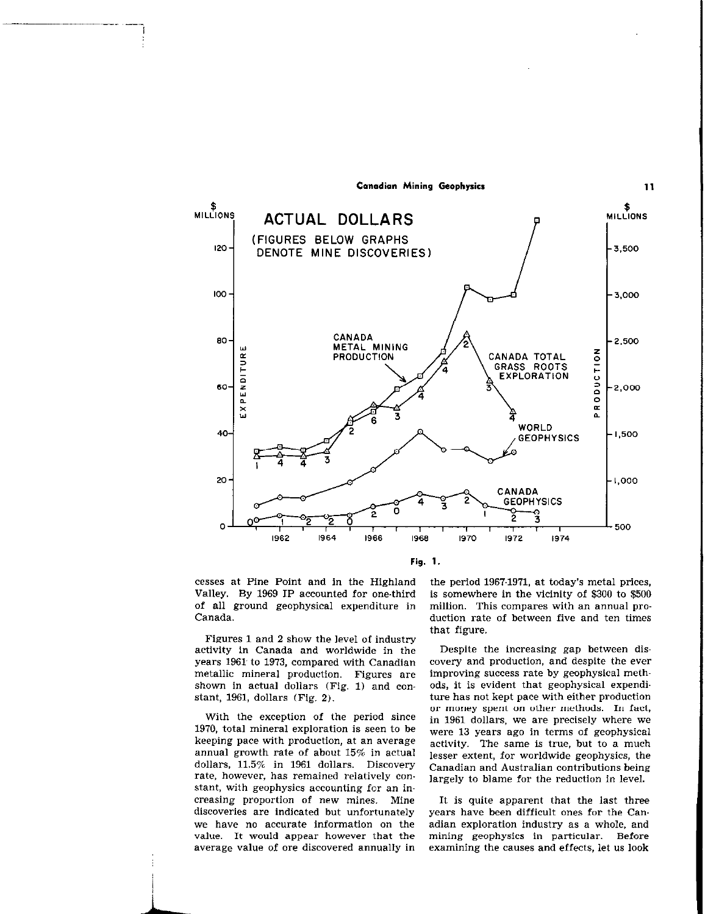

Fig. 1.

cesses at Pine Point and in the Highland Valley. By 1969 IP accounted for one-third of all ground geophysical expenditure in Canada.

Figures 1 and 2 show the level of industry activity in Canada and worldwide in the years 1961 to 1973, compared with Canadian metallic mineral production. Figures are shown in actual dollars (Fig. 1) and constant, 1961, dollars (Fig. 2).

With the exception of the period since 1970, total mineral exploration is seen to be keeping pace with production, at an average annual growth rate of about 15% in actual dollars, 11.5% in 1961 dollars. Discovery rate, however, has remained relatively constant, with geophysics accounting for an increasing proportion of new mines. Mine discoveries are indicated but unfortunately we have no accurate information on the value. It would appear however that the average value of ore discovered annually in

the period 1967-1971, at today's metal prices, is somewhere in the vicinity of \$300 to \$500 million. This compares with an annual production rate of between five and ten times that figure.

11

Despite the increasing gap between discovery and production, and despite the ever improving success rate by geophysical methods, it is evident that geophysical expenditure has not kept pace with either production or money spent on other methods. In fact, in 1961 dollars, we are precisely where we were 13 years ago in terms of geophysical activity. The same is true, but to a much lesser extent, for worldwide geophysics, the Canadian and Australian contributions being largely to blame for the reduction in level.

It is quite apparent that the last three years have been difficult ones for the Canadian exploration industry as a whole, and mining geophysics in particular. Before examining the causes and effects, let us look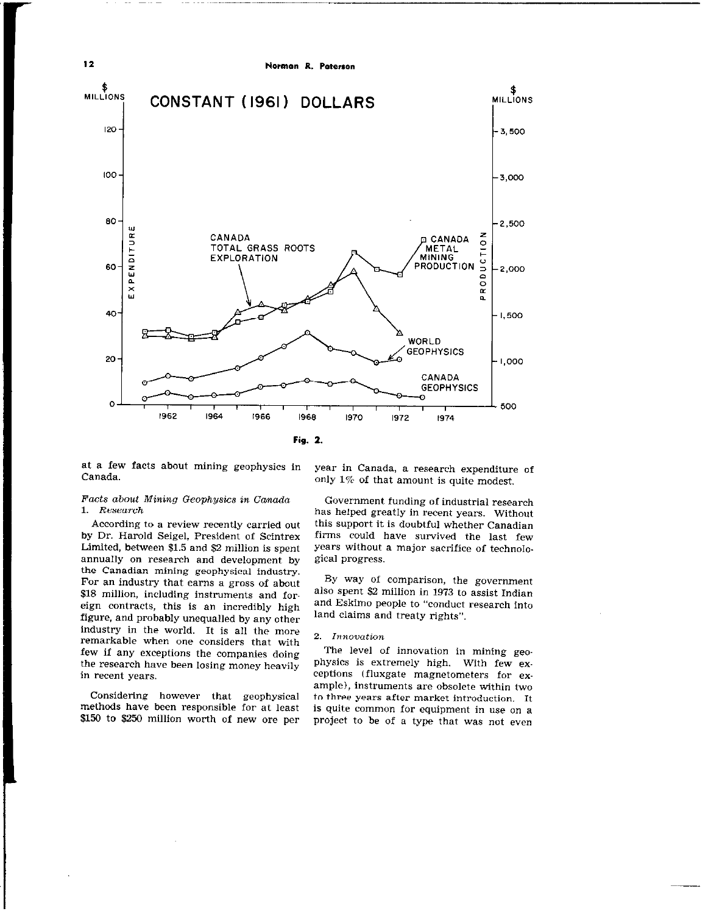

at a few facts about mining geophysics in Canada.

# Facts about Mining Geophysics in Canada<br>1. Research  $\mathbf{1}$ .  $\mathbf{1}$

According to a review recently carried out by Dr. Harold Seigel, President of Scintrex Limited, between \$1.5 and \$2 million is spent annually on research and development by the Canadian mining geophysical industry. For an industry that earns a gross of about \$18 million, including instruments and foreign contracts, this is an incredibly high<br>figure, and probably unequalled by any other industry in the world. It is all the more remarkable when one considers that with few if any exceptions the companies doing Few if any exceptions the companies doing the research have been losing money heavily in recent years.

Considering however that geophysical<br>methods have been responsible for at least methods have been responsible for at least  $\frac{1}{2}$  to  $\frac{1}{2}$  and  $\frac{1}{2}$  million worth of new ore per

year in Canada, a research expenditure of only 1% of that amount is quite modest.

Government funding of industrial research has helped greatly in recent years. Without this support it is doubtful whether Canadian firms could have survived the last few years without a major sacrifice of technolo. gical progress.

BY way of comparison, the government also spent \$2 million in 1973 to assist Indian and Eskimo people to "conduct research into land claims and treaty rights".

## 2. Innovation

The level of innovation in mining geophysics is extremely high. With few exceptions (fluxgate magnetometers for example), instruments are obsolete within two to three years after market introduction. It is quite common for equipment in use on a project to be of a type that was not even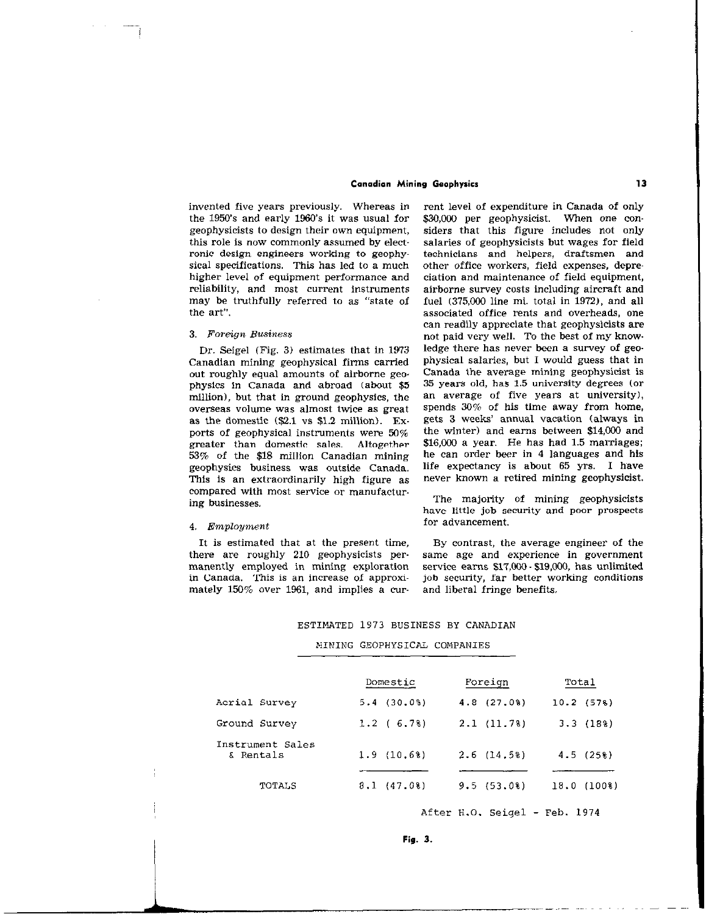geophysicists to design their own equipment, higher level of equipment performance and may be truthfully referred to as "state of the art".

Canadian mining geophysical firms carried physical salaries, but I would guess that in<br>out roughly equal amounts of airborne geo. Canada the average mining geophysicist is out roughly equal amounts of airborne geo. Canada the average mining geophysicist is<br>physics in Canada and abroad (about \$5 35 years old, has 1.5 university degrees (or physics in Canada and abroad (about \$5 35 years old, has 1.5 university degrees (or million), but that in ground geophysics the an average of five years at university). million), but that in ground geophysics, the an average of five years at university), overseas volume was almost twice as great. Spends  $30\%$  of his time away from home, overseas volume was almost twice as great spends  $30\%$  of his time away from home, as the domestic  $(S2.1 \text{ vs } $1.2 \text{ million})$ . Ex. gets 3 weeks' annual vacation (always in as the domestic (\$2.1 vs \$1.2 million). Ex- gets 3 weeks' annual vacation (always in<br>norts of geophysical instruments were  $50\%$  the winter) and earns between \$14.000 and ports of geophysical instruments were  $50\%$  the winter) and earns between \$14,000 and preater than domestic sales. Altogether \$16,000 a year. He has had 1.5 marriages: greater than domestic sales. Altogether  $$16,000$  a year. He has had 1.5 marriages;<br>53% of the \$18 million Canadian mining the can order beer in 4 languages and his 53% of the \$18 million Canadian mining he can order beer in 4 languages and his geophysics business was outside Canada life expectancy is about 65 yrs. I have geophysics business was outside Canada. life expectancy is about 65 yrs. I have<br>This is an extraordinarily high figure as never known a retired mining geophysicist. This is an extraordinarily high figure as compared with most service or manufactur. ing businesses. The majority of mining geophysicists ing businesses.

#### 4. Employment

It is estimated that at the present time, By contrast, the average engineer of the in Canada. This is an increase of approximately 159% over 1961, and implies a cur- and liberal fringe benefits.

invented five years previously. Whereas in rent level of expenditure in Canada of only the 1950's and early 1960's it was usual for \$30,000 per geophysicist. When one con-<br>geophysicists to design their own equipment, siders that this figure includes not only this role is now commonly assumed by elect-<br>
salaries of geophysicists but wages for field<br>
ronic design engineers working to geophy-<br>
technicians
and
helpers, draftsmen
and ronic design engineers working to geophy- technicians and helpers, draftsmen and sical specifications. This has led to a much other office workers, field expenses, depresical specifications. This has led to a much other office workers, field expenses, depre-<br>higher level of equipment performance and ciation and maintenance of field equipment, reliability, and most current instruments airborne survey costs including aircraft and may be truthfully referred to as "state of fuel (375,000 line mi. total in 1972), and all associated office rents and overheads, one can readily appreciate that geophysicists are 3. Foreign Business not paid very well. To the best of my know-Dr. Seigel (Fig. 3) estimates that in 1973 ledge there has never been a survey of geo-<br>anadian mining geophysical firms carried sphysical salaries, but I would guess that in

have little job security and poor prospects<br>for advancement.

there are roughly 210 geophysicists per. same age and experience in government manently employed in mining exploration service earns  $$17,000 \cdot $19,000$ , has unlimited in Canada. This is an increase of approxi- job security, far better working conditions

# ESTIMATED 1973 BUSINESS BY CANADlAN

#### MIMING GEOPHYSICAL COMPANIES

|                                | Domestic   | Foreign    | Total                         |
|--------------------------------|------------|------------|-------------------------------|
| Acrial Survey                  | 5.4(30.08) | 4.8(27.08) | 10.2(578)                     |
| Ground Survey                  | 1.2(6.78)  | 2.1(11.78) | 3.3(188)                      |
| Instrument Sales<br>rentals) & | 1.9(10.68) | 2.6(14.58) | 4.5(25%)                      |
| TOTALS                         | 8.1(47.08) | 9.5(53.08) | $(100$ <sup>8</sup> )<br>18.0 |

After H.O. Seigel - Feb. 1974

Fig. 3.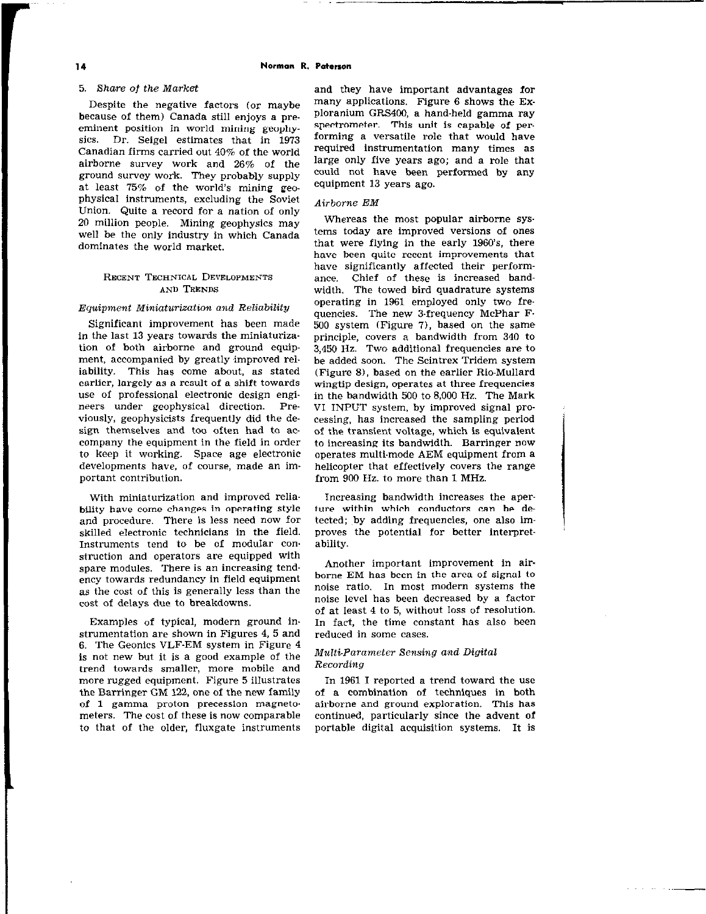## 5. Xhare of the Market

Despite the negative factors (or maybe because of them) Canada still enjoys a preeminent position in world mining geophysics. Dr. Seigel estimates that in 1973 Canadian firms carried out 40% of the world airborne survey work and 26% of the ground survey work. They probably supply at least 75% of the world's mining geophysical instruments, excluding the Soviet Union. Quite a record for a nation of only 20 million people. Mining geophysics may well be the only industry in which Canada dominates the world market.

## RECENT TECHNICAL DEVELOPMENTS AND TRENDS

## Equipment Miniaturization and Reliability

Significant improvement has been made in the last 13 years towards the miniaturiza tion of both airborne and ground equipment, accompanied by greatly improved reliability. This has come about, as stated earlier, largely as a result of a shift towards use of professional electronic design engineers under geophysical direction. Previously, geophysicists frequently did the design themselves and too often had to accompany the equipment in the field in order to keep it working. Space age electronic developments have, of course, made an im portant contribution.

With miniaturization and improved reliability have come changes in operating style and procedure. There is less need now for skilled electronic technicians in the field. Instruments tend to be of modular construction and operators are equipped with spare modules. There is an increasing tendency towards redundancy in field equipment as the cost of this is generally less than the cost of delays due to breakdowns.

Examples of typical, modern ground in. strumentation are shown in Figures 4, 5 and 6. The Geonics VLF-EM system in Figure 4 is not new but it is a good example of the trend towards smaller, more mobile and more rugged equipment. Figure 5 illustrates the Barringer GM 122, one of the new family of 1 gamma proton precession magnetometers. The cost of these is now comparable to that of the older, fluxgate instruments

and they have important advantages for many applications. Figure 6 shows the Exploranium GRS400, a hand-held gamma ray spectrometer. This unit is capable of performing a versatile role that would have required instrumentation many times as large only five years ago; and a role that could not have been performed by any equipment 13 years ago.

## Airborne EM

Whereas the most popular airborne sys. terns today are improved versions of ones that were flying in the early 1960's, there have been quite recent improvements that have significantly affected their performance. Chief of these is increased bandwidth. The towed bird quadrature systems operating in 1961 employed only two frequencies. The new 3.frequency McPhar F-500 system (Figure 7), based on the same principle, covers a bandwidth from 340 to 3,450 Hz. Two additional frequencies are to be added soon. The Scintrex Tridem system (Figure 8), based on the earlier Rio-Mullard wingtip design, operates at three frequencies in the bandwidth 500 to 8,000 Hz. The Mark VI INPUT system. by improved signal processing, has increased the sampling period of the transient voltage, which is equivalent to increasing its bandwidth. Barringer now operates multi-mode AEM equipment from a helicopter that effectively covers the range from 900 Hz. to more than 1 MHz.

Increasing bandwidth increases the aperture within which conductors can be detected; by adding frequencies, one also improves the potential for better interpretability.

Another important improvement in airborne EM has been in the area of signal to noise ratio. In most modern systems the noise level has been decreased by a factor of at least 4 to 5, without loss of resolution. In fact, the time constant has also been reduced in some cases.

## Multi-Parameter Sensing and Digital **Recording**

In 1961 I reported a trend toward the use of a combination of techniques in both airborne and ground exploration. This has continued, particularly since the advent of portable digital acquisition systems. It is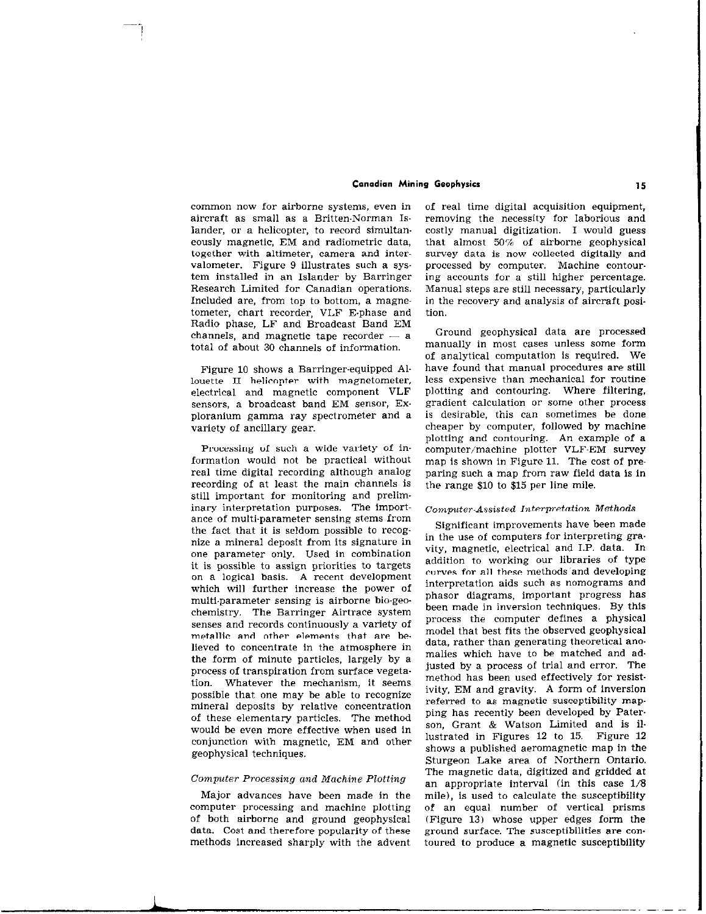common now for airborne systems, even in aircraft as small as a Britten-Norman Islander, or a helicopter, to record simultan. eously magnetic, EM and radiometric data, together with altimeter, camera and intervalometer. Figure 9 illustrates such a system installed in an Islander by Barringer Research Limited for Canadian operations. Included are, from top to bottom, a magnetometer, chart recorder, VLF E.phase and Radio phase, LF and Broadcast Band EM channels, and magnetic tape recorder  $-$  a total of about 30 channels of information.

Figure 10 shows a Barringer-equipped Allouette II helicopter with magnetometer, electrical and magnetic component VLF sensors, a broadcast band EM sensor, Exploranium gamma ray spectrometer and a variety of ancillary gear.

Processing of such a wide variety of information would not be practical without real time digital recording although analog recording of at least the main channels is still important for monitoring and preliminary interpretation purposes. The importance of multi-parameter sensing stems from the fact that it is seldom possible to recognize a mineral deposit from its signature in one parameter only. Used in combination it is possible to assign priorities to targets on a logical basis. A recent development which will further increase the power of multi.parameter sensing is airborne bio-geochemistry. The Barringer Airtrace system senses and records continuously a variety of metallic and other elements that are be lieved to concentrate in the atmosphere in the form of minute particles, largely by a process of transpiration from surface vegetation. Whatever the mechanism, it seems possible that one may be able to recognize mineral deposits by relative concentration of these elementary particles. The method would be even more effective when used in conjunction with magnetic, EM and other geophysical techniques.

#### Computer Processing and Machine Plotting

Major advances have been made in the computer processing and machine plotting of both airborne and ground geophysical data. Cost and therefore popularity of these methods increased sharply with the advent

i

of real time digital acquisition equipment, removing the necessity for laborious and costly manual digitization. I would guess that almost 50% of airborne geophysical survey data is now collected digitally and processed by computer. Machine contour. ing accounts for a still higher percentage. Manual steps are still necessary, particularly in the recovery and analysis of aircraft position.

Ground geophysical data are processed manually in most cases unless some form of analytical computation is required. We have found that manual procedures are still less expensive than mechanical for routine plotting and contouring. Where filtering, gradient calculation or some other process is desirable, this can sometimes be done cheaper by computer, followed by machine plotting and contouring. An example of a computer/machine plotter VLF-EM survey map is shown in Figure 11. The cost of preparing such a map from raw field data is in the range \$10 to 515 per line mile.

## Computer-Assisted Interpretation Methods

Significant improvements have been made in the use of computers for interpreting gra. vity, magnetic, electrical and I.P. data. In addition to working our libraries of type curws for all these methods'and developing interpretation aids such as nomograms and phasor diagrams, important progress has been made in inversion techniques. By this process the computer defines a physical model that best fits the observed geophysical data, rather than generating theoretical ano. malies which have to be matched and ad. justed by a process of trial and error. The method has been used effectively for resistivity, EM and gravity. A form of inversion referred to as magnetic susceptibility map. ping has recently been developed by Paterson, Grant & Watson Limited and is illustrated in Figures 12 to 15. Figure 12 shows a published aeromagnetic map in the Sturgeon Lake area of Northern Ontario. The magnetic data, digitized and gridded at an appropriate interval (in this case l/8 mile), is used to calculate the susceptibility of an equal number of vertical prisms (Figure 13) whose upper edges form the ground surface. The susceptibilities are contoured to produce a magnetic susceptibility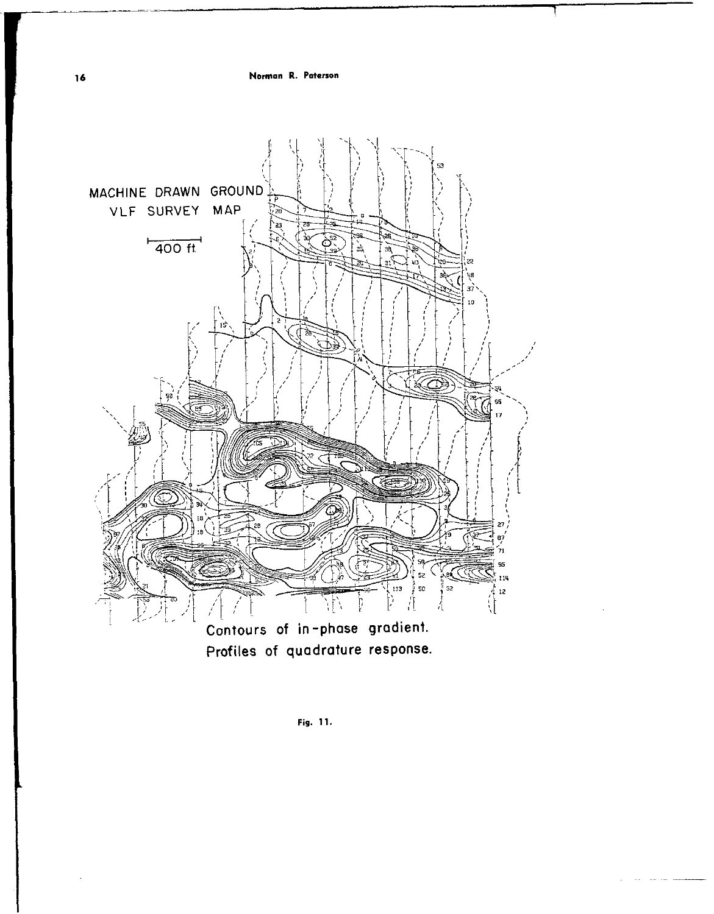16 Norman R. Paterson



Profiles of quadrature response.

Pig. 11.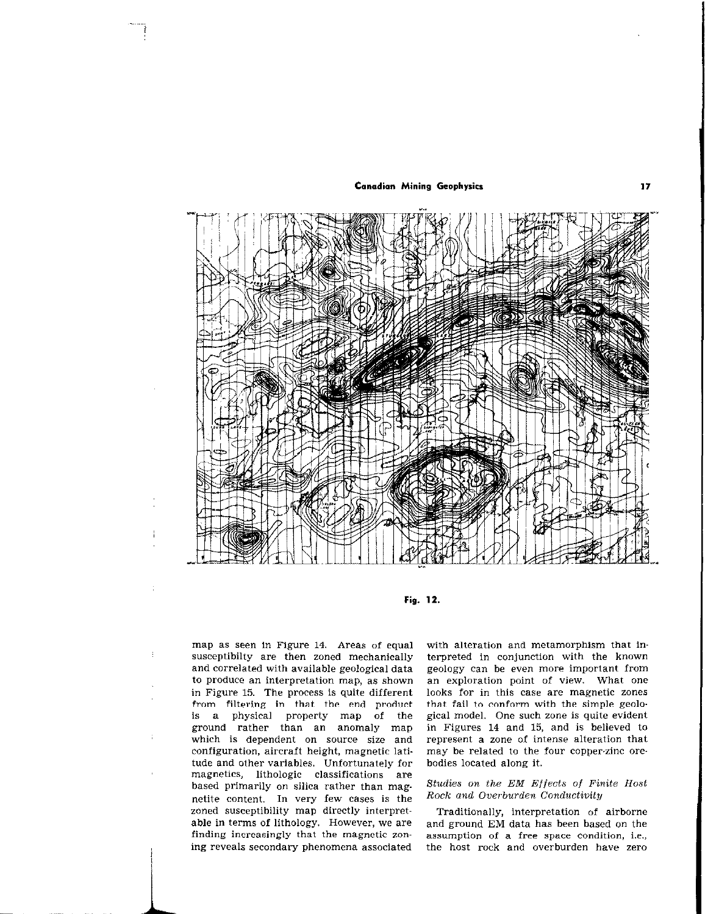

Fig. 12.

map as seen in Figure 14. Areas of equal susceptibilty are then zoned mechanically and correlated with available geological data to produce an interpretation map, as shown in Figure 15. The process is quite different from filtering in that the end product is a physical property map of the ground rather than an anomaly map which is dependent on source size and configuration, aircraft height, magnetic latitude and other variables, Unfortunately for magnetics, lithologic classifications are based primarily on silica rather than magnetite content. In very few cases is the zoned susceptibility map directly interpretable in terms of lithology. However, we are finding increasingly that the magnetic zoning reveals secondary phenomena associated with alteration and metamorphism that interpreted in conjunction with the known geology can be even more important from an exploration point of view. What one looks for in this case are magnetic zones that fail to conform with the simple geological model. One such zone is quite evident in Figures 14 and 15, and is believed to represent a zone of intense alteration that may be related to the four copper-zinc orebodies located along it.

## Studies on the EM Effects of Finite Host Rock and Overburden Conductivity

Traditionally, interpretation of airborne and ground EM data has been based on the assumption of a free space condition, i.e., the host rock and overburden have zero

17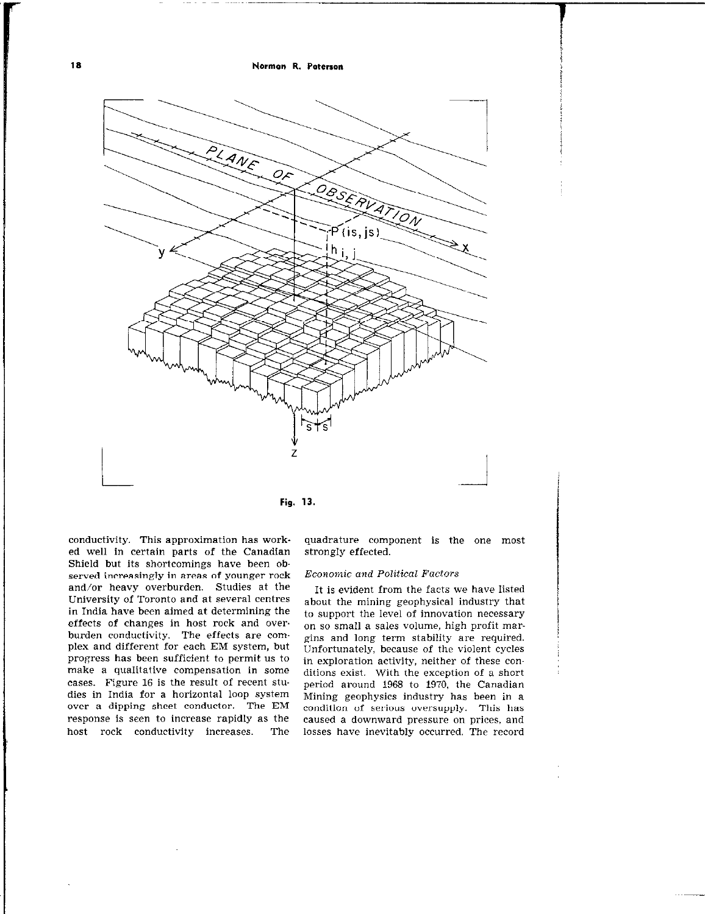I8 Norman R. Paterson



Fig. 13.

conductivity. This approximation has worked well in certain parts of the Canadian Shield but its shortcomings have been observed increasingly in areas of younger rock and/or heavy overburden. Studies at the University of Toronto and at several centres in India have been aimed at determining the effects of changes in host rock and over. burden conductivity. The effects are complex and different for each EM system, but progress has been sufficient to permit us to make a qualitative compensation in some cases. Figure 16 is the result of recent studies in India for a horizontal loop system over a dipping sheet conductor. The EM response is seen to increase rapidly as the host rock conductivity increases. The

quadrature component is the one most strongly effected.

#### Economic and Political Factors

It is evident from the facts we have listed about the mining geophysical industry that to support the level of innovation necessary on so small a sales volume, high profit margins and long term stability are required. Unfortunately, because of the violent cycles in exploration activity, neither of these conditions exist. With the exception of a short period around 1968 to 1970, the Canadian Mining geophysics industry has been in a condition of serious oversupply. This has caused a downward pressure on prices, and losses have inevitably occurred. The record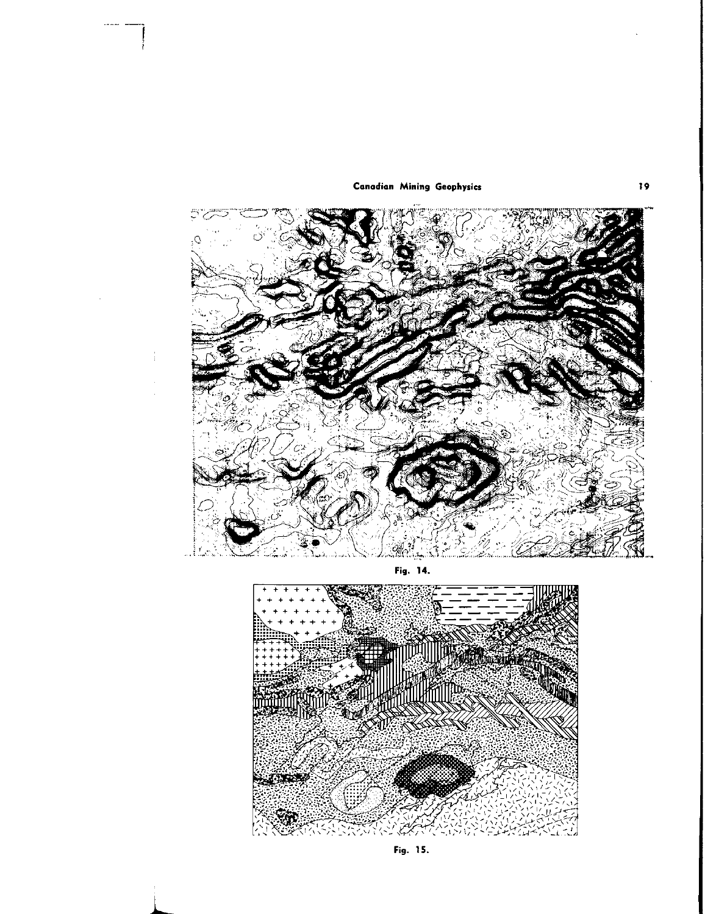

t

Fig. 14.



Fig. 15.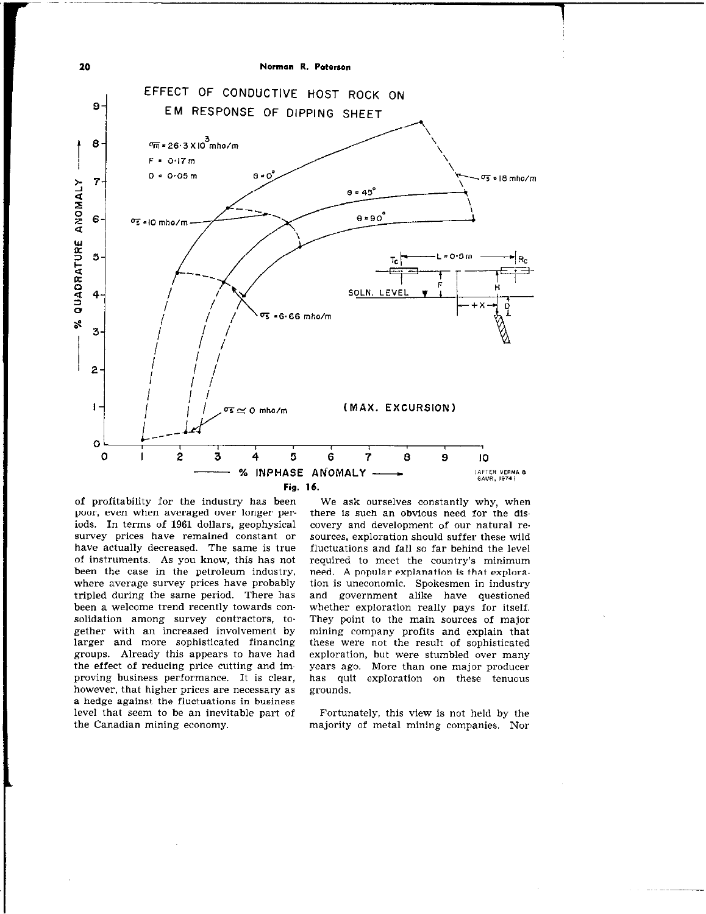

of profitability for the industry has been poor, even when averaged over longer per. iods. In terms of 1961 dollars, geophysical survey prices have remained constant or have actually decreased. The same is true of instruments. As you know, this has not been the case in the petroleum industry, where average survey prices have probably tripled during the same period. There has been a welcome trend recently towards consolidation among survey contractors, together with an increased involvement by larger and more sophisticated financing groups. Already this appears to have had the effect of reducing price cutting and improving business performance. It is clear, however, that higher prices are necessary as a hedge against the fluctuations in business level that seem to be an inevitable part of the Canadian mining economy.

We ask ourselves constantly why, when there is such an obvious need for the discovery and development of our natural re. sources, exploration should suffer these wild fluctuations and fall so far behind the level required to meet the country's minimum need. A popular explanation is that exploration is uneconomic. Spokesmen in industry and government alike have questioned whether exploration really pays for itself. They point to the main sources of major mining company profits and explain that these were not the result of sophisticated exploration, but were stumbled over many years ago. More than one major producer has quit exploration on these tenuous grounds.

Fortunately, this view is not held by the majority of metal mining companies. Nor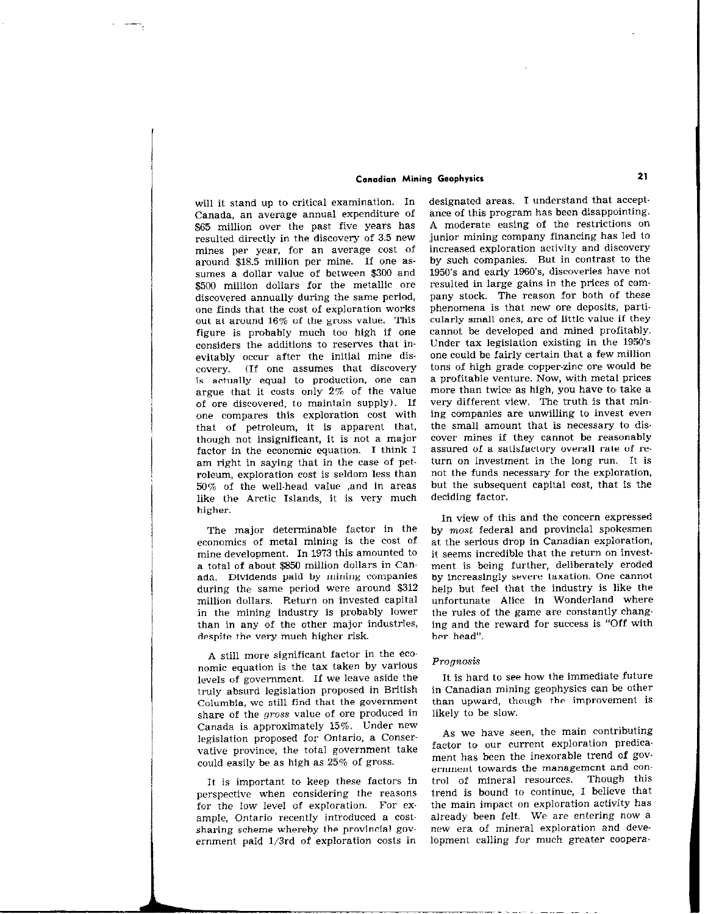will it stand up to critical examination. In Canada, an average annual expenditure of \$65 million over the past five years has resulted directly in the discovery of 3.5 new mines per year, for an average cost of around \$18.5 million per mine. If one assumes a dollar value of between \$300 and \$500 million dollars for the metallic ore discovered annually during the same period, one finds that the cost of exploration works out at around 16% of the gross value. This figure is probably much too high if one considers the additions to reserves that inevitably occur after the initial mine discovery. (If one assumes that discovery is actually equal to production, one can argue that it costs only 2% of the value of ore discovered, to maintain supply). If one compares this exploration cost with that of petroleum, it is apparent that, though not insignificant, it is not a major factor in the economic equation. I think I am right in saying that in the case of petroleum, exploration cost is seldom less than 50% of the well-head value ,and in areas like the Arctic Islands, it is very much higher.

The major determinable factor in the economics of metal mining is the cost of mine development. In 1973 this amounted to a total of about \$850 million dollars in Canada. Dividends paid by mining companies during the same period were around \$312 million dollars. Return on invested capital in the mining industry is probably lower than in any of the other major industries, despite the very much higher risk.

A still more significant factor in the economic equation is the tax taken by various levels of government. If we leave aside the truly absurd legislation proposed in British Columbia, we still find that the government share of the gross value of ore produced in Canada is approximately 15%. Under new legislation proposed for Ontario, a Conservative province, the total government take could easily be as high as 25% of gross.

It is important to keep these factors in perspective when considering the reasons for the low level of exploration. For example, Ontario recently introduced a costsharing scheme whereby the provincial government paid 1/3rd of exploration costs in designated areas. I understand that acceptance of this program has been disappointing. A moderate easing of the restrictions on junior mining company financing has led to increased exploration activity and discovery by such companies. But in contrast to the 1950's and early 1960's, discoveries have not resulted in large gains in the prices of company stock. The reason for both of these phenomena is that new ore deposits, particularly small ones, are of little value if they cannot be developed and mined profitably. Under tax legislation existing in the 1950's one could be fairly certain that a few million tons of high grade copper-zinc ore would be a profitable venture. Now, with metal prices more than twice as high, you have to take a very different view. The truth is that mining companies are unwilling to invest even the small amount that is necessary to dis. cover mines if they cannot be reasonably assured of a satisfactory overall rate of return on investment in the long run. It is not the funds necessary for the exploration, but the subsequent capital cost, that is the deciding factor.

In view of this and the concern expressed by most federal and provincial spokesmen at the serious drop in Canadian exploration, it seems incredible that the return on investment is being further, deliberately eroded by increasingly severe taxation. One cannot help but feel that the industry is like the unfortunate Alice in Wonderland where the rules of the game are constantly changing and the reward for success is "Off with her head".

#### Prognosis

It is hard to see how the immediate future in Canadian mining geophysics can be other than upward, though the improvement is likely to be slow.

As we have seen, the main contributing factor to our current exploration predicament has been the inexorable trend of government towards the management and control of mineral resources. Though this trend is bound to continue, I believe that the main impact on exploration activity has already been felt. We are entering now a new era of mineral exploration and development calling for much greater coopera